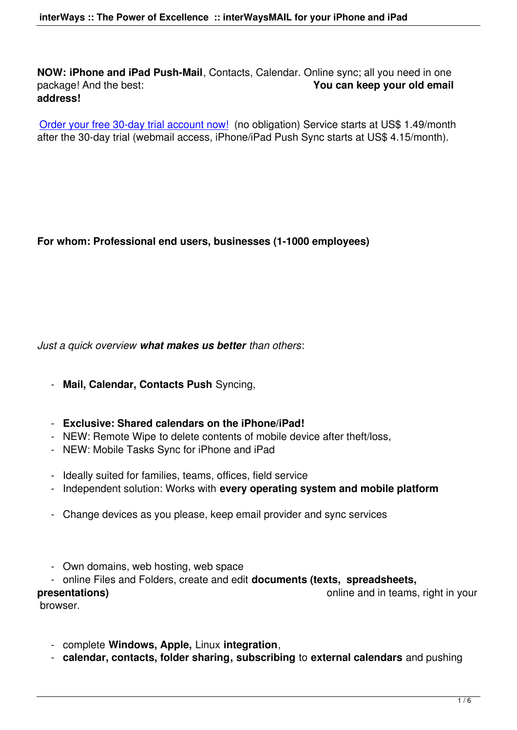Order your free 30-day trial account now! (no obligation) Service starts at US\$ 1.49/month after the 30-day trial (webmail access, iPhone/iPad Push Sync starts at US\$ 4.15/month).

## **For whom: Professional end users, businesses (1-1000 employees)**

## *Just a quick overview what makes us better than others*:

- **Mail, Calendar, Contacts Push** Syncing,
- **Exclusive: Shared calendars on the iPhone/iPad!**
- NEW: Remote Wipe to delete contents of mobile device after theft/loss,
- NEW: Mobile Tasks Sync for iPhone and iPad
- Ideally suited for families, teams, offices, field service
- Independent solution: Works with **every operating system and mobile platform**
- Change devices as you please, keep email provider and sync services
- Own domains, web hosting, web space
- online Files and Folders, create and edit **documents (texts, spreadsheets,**

browser.

- **presentations) presentations presentations presentations presentations presentations presentations presentations presentations presentations presentations presentations presentations presentation** 
	- complete **Windows, Apple,** Linux **integration**,
	- **calendar, contacts, folder sharing, subscribing** to **external calendars** and pushing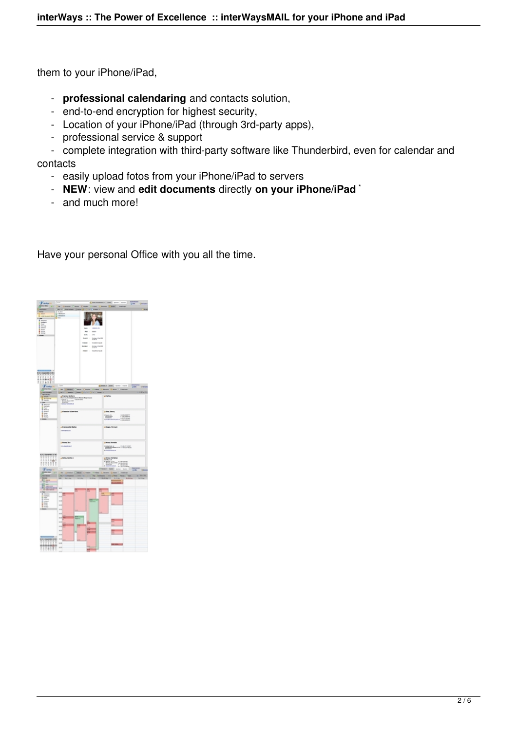them to your iPhone/iPad,

- **professional calendaring** and contacts solution,
- end-to-end encryption for highest security,
- Location of your iPhone/iPad (through 3rd-party apps),
- professional service & support
- complete integration with third-party software like Thunderbird, even for calendar and contacts
	- easily upload fotos from your iPhone/iPad to servers
- **NEW**: view and **edit documents** directly **on your iPhone/iPad** \*
	- and much more!

Have your personal Office with you all the time.

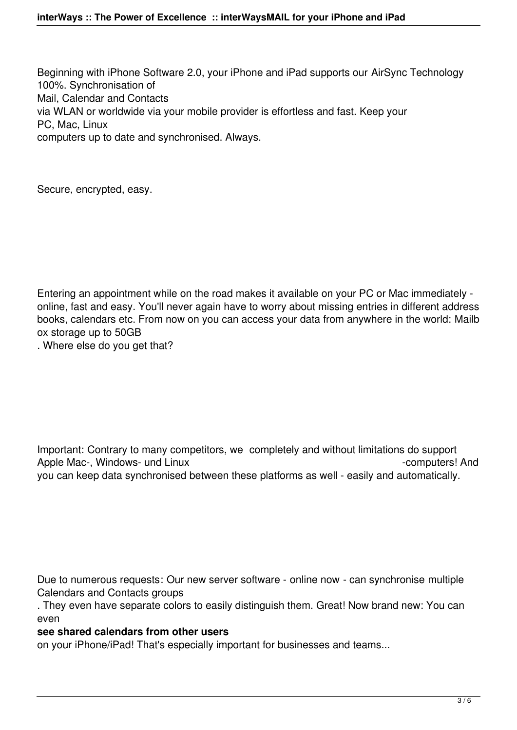Beginning with iPhone Software 2.0, your iPhone and iPad supports our AirSync Technology 100%. Synchronisation of Mail, Calendar and Contacts via WLAN or worldwide via your mobile provider is effortless and fast. Keep your PC, Mac, Linux computers up to date and synchronised. Always.

Secure, encrypted, easy.

Entering an appointment while on the road makes it available on your PC or Mac immediately online, fast and easy. You'll never again have to worry about missing entries in different address books, calendars etc. From now on you can access your data from anywhere in the world: Mailb ox storage up to 50GB

. Where else do you get that?

Important: Contrary to many competitors, we completely and without limitations do support Apple Mac-, Windows- und Linux -computers! And you can keep data synchronised between these platforms as well - easily and automatically.

Due to numerous requests: Our new server software - online now - can synchronise multiple Calendars and Contacts groups

. They even have separate colors to easily distinguish them. Great! Now brand new: You can even

## **see shared calendars from other users**

on your iPhone/iPad! That's especially important for businesses and teams...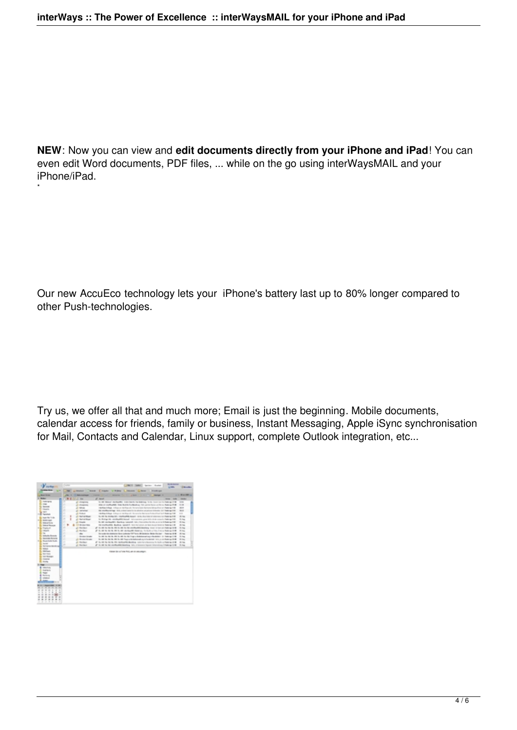**NEW**: Now you can view and **edit documents directly from your iPhone and iPad**! You can even edit Word documents, PDF files, ... while on the go using interWaysMAIL and your iPhone/iPad.

Our new AccuEco technology lets your iPhone's battery last up to 80% longer compared to other Push-technologies.

Try us, we offer all that and much more; Email is just the beginning. Mobile documents, calendar access for friends, family or business, Instant Messaging, Apple iSync synchronisation for Mail, Contacts and Calendar, Linux support, complete Outlook integration, etc...

| <b>Solution</b>                                                                                                                                                                                                                                                                                                                                                                                                                                                                                                                                                                                                                                                                                                              | <b>COL</b><br>---<br><b>FRED TANKET Service Started</b><br><b>USA</b><br>-                                                                                                                                                                                                                                                                                                                                                                                                                                                                                                                                                                                                                                                                                                                                                                                                                                                                                                                                                                                                                                                                                                                                                                                                                                                                                                                                                                                                                                                                                                                                                                                                                                                                                                                                                                                                                                                                                                                                                                                                                                                                                                                                                                                                                     |  |
|------------------------------------------------------------------------------------------------------------------------------------------------------------------------------------------------------------------------------------------------------------------------------------------------------------------------------------------------------------------------------------------------------------------------------------------------------------------------------------------------------------------------------------------------------------------------------------------------------------------------------------------------------------------------------------------------------------------------------|------------------------------------------------------------------------------------------------------------------------------------------------------------------------------------------------------------------------------------------------------------------------------------------------------------------------------------------------------------------------------------------------------------------------------------------------------------------------------------------------------------------------------------------------------------------------------------------------------------------------------------------------------------------------------------------------------------------------------------------------------------------------------------------------------------------------------------------------------------------------------------------------------------------------------------------------------------------------------------------------------------------------------------------------------------------------------------------------------------------------------------------------------------------------------------------------------------------------------------------------------------------------------------------------------------------------------------------------------------------------------------------------------------------------------------------------------------------------------------------------------------------------------------------------------------------------------------------------------------------------------------------------------------------------------------------------------------------------------------------------------------------------------------------------------------------------------------------------------------------------------------------------------------------------------------------------------------------------------------------------------------------------------------------------------------------------------------------------------------------------------------------------------------------------------------------------------------------------------------------------------------------------------------------------|--|
|                                                                                                                                                                                                                                                                                                                                                                                                                                                                                                                                                                                                                                                                                                                              | Alberta China Citato Vitara Liberta Giorni Instituti                                                                                                                                                                                                                                                                                                                                                                                                                                                                                                                                                                                                                                                                                                                                                                                                                                                                                                                                                                                                                                                                                                                                                                                                                                                                                                                                                                                                                                                                                                                                                                                                                                                                                                                                                                                                                                                                                                                                                                                                                                                                                                                                                                                                                                           |  |
| <b>Jackson</b>                                                                                                                                                                                                                                                                                                                                                                                                                                                                                                                                                                                                                                                                                                               | $-1.04432$<br>$\overline{\phantom{a}}$<br>٠<br><b>REGISTER</b><br><b>START</b><br><b>Homes</b> H<br><b>Advertising</b><br><b>COLLEGE</b><br>                                                                                                                                                                                                                                                                                                                                                                                                                                                                                                                                                                                                                                                                                                                                                                                                                                                                                                                                                                                                                                                                                                                                                                                                                                                                                                                                                                                                                                                                                                                                                                                                                                                                                                                                                                                                                                                                                                                                                                                                                                                                                                                                                   |  |
| <b>C. Motor</b>                                                                                                                                                                                                                                                                                                                                                                                                                                                                                                                                                                                                                                                                                                              | <b>NEGAL</b><br>all send<br><b>Hotel</b><br><b>COLOR</b><br><b>Solar Edit</b>                                                                                                                                                                                                                                                                                                                                                                                                                                                                                                                                                                                                                                                                                                                                                                                                                                                                                                                                                                                                                                                                                                                                                                                                                                                                                                                                                                                                                                                                                                                                                                                                                                                                                                                                                                                                                                                                                                                                                                                                                                                                                                                                                                                                                  |  |
| <b>Commerce</b><br><b>B</b> max<br><b>By General</b><br><b>B</b> importer<br><b>Sales</b><br>15 Telefinity<br>Asset April 14<br>. <b>Committee</b><br><b>By teacurities</b><br><b>L. Isana Tennas</b><br>. La Francisco<br><b>By TRUSTE</b><br><b>Bi</b> 16<br><b>E.</b> Interior Econom<br><b>By Montan Hysters</b><br>1 By Statistick State<br><b>Simple 1</b><br><b>B</b> Writers Book as<br><b>By Notice</b><br><b>S. Hillman</b><br><b>Li</b> fact have<br><b>Li terminan</b><br><b>B.</b> Georgia<br><b>By shorter</b><br><b>Face</b><br><b>B</b> <i>International</i><br><b>Kingdom</b> de<br><b>E</b> man<br><b>B</b> Surface<br>talamai<br>$\overline{\phantom{a}}$<br>$\rightarrow$<br>$\mathbf{r}$<br>٠<br>٠<br>. | in the detroit declaration and containing to be the control of the part of<br><b>STAR</b><br>gli storanno<br>۰<br><b>EXCESSIVE THE SERVICES IN AN AN AN ART AND ART AND</b><br>19.199<br>All Albertains<br>٠<br>Hartley Artists In this or moving and Harrison's hartwood Art as their art Party or Hill<br>$\frac{1}{2}$<br>$2 - 8 + 10$<br>÷<br>man.<br>the studies in lags. With a stand data for the studies originates in books of a laggery field<br>gli indicationi<br>÷<br>ALC: NATIONAL<br>12.01<br>(Additional Research) in the Research Process for Bennett Association Contract Automotive Con-<br>×<br>19.744<br><b>J. Anticklas</b><br>to not the recompany's competition required manager. As the chair today of information in the region of the<br>۰<br><b>Silver</b><br><b>C. Serve Most</b><br>to their pride, and the difficult benefit in the content cases for the determined a battery of the<br>۰<br>Al Frede<br>In the section of the control of the control of the control of the control of the control of the control of the control of the control of the control of the control of the control of the control of the control of the contr<br>22.34<br>a<br><b>CA decader Will</b><br>THE MAINTENANCE. Maculture, specialist rest of the contact, on their manager to make up in the<br>10.744<br>e<br><b>Silver</b><br><b>C. Series</b><br>in all in the facts at the facts the conflictable density three is too are belong it of<br>۰<br>A 14 K to be the first and a factor basic or the first and the part of<br>All Richard<br><b>Hill Bag</b><br>×<br>The municipal dark depending the exceptionals (SMF have) (MR deviations Market Rev. Law 11 - Associate to MR<br><b>Hills</b><br>the con-<br>$\overline{\phantom{a}}$<br>L. Gordon Model<br>in this in the fit in this in the fit is a determinant to consider the form of the<br><b>Sides</b><br><b>A RODERING</b><br>In 1978, the Bulletin Research Advertised and Constitution of the control of<br>22.34<br>٠<br>af its mit he mit de medicarbilidad as conveniences in last coheren link<br>A Market<br>10.744<br><b>C. Series</b><br>all the set the the secretary detections index or response interesting of these parts of<br><b>Silving</b><br>Kalous (as a places Policy per on answerpe). |  |

\*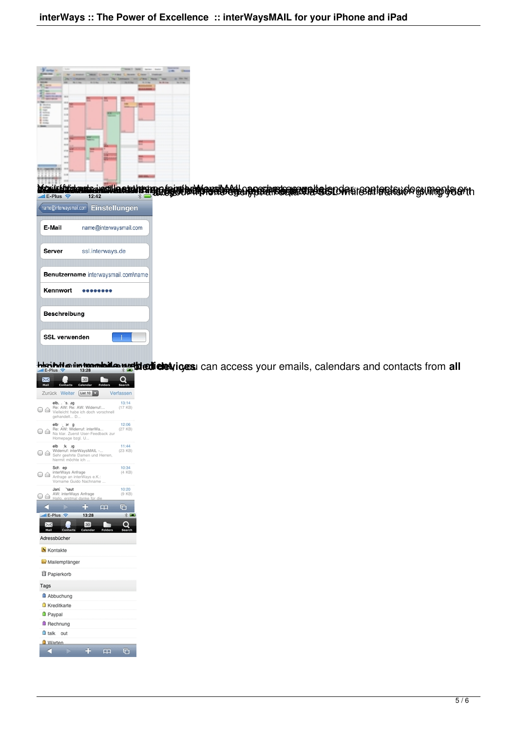

**Modukárbiskorekcejozotta a sahrangga bylot hattáragatódógta poszturtágyagottatág település a tagjadágtólógtumogyágarth**<br>Her<sup>pus</sup> 2006-ban 12:42



**Heiterligh in tengole il an aggled devices** : can access your emails, calendars and contacts from **all** 

| 30<br>Calendar<br>Mail<br>Contacts                                                                                    |                    |
|-----------------------------------------------------------------------------------------------------------------------|--------------------|
| Weiter<br>List 10<br>Zurück                                                                                           | Verfassen          |
| elb., 9. ag<br>Re: AW: Re: AW: Widerruf:<br>o c<br>Vielleicht habe ich doch vorschnell<br>gehandelt D                 | 13:14<br>$(17$ KB) |
| elb: ar g<br>Re: AW: Widerruf: interWa<br>06<br>Na klar. Zuerst User-Feedback zur<br>Homepage bzgl. U                 | 12:06<br>(27 KB)   |
| elb<br>大<br>$\mathcal{A}$<br>Widerruf: interWaysMAIL -<br>0 A<br>Sehr geehrte Damen und Herren,<br>hiermit möchte ich | 11:44<br>(23 KB)   |
| Sch. ep<br>interWays Anfrage<br>€<br>Anfrage an interWays e.K.:<br>Vorname Guido Nachname                             | 10:34<br>(4 KB)    |
| Jani<br>naut<br>AW: interWays Anfrage<br>JE<br>Hallo, erstmal danke für die                                           | 10:20<br>(9 KB)    |
| ഥ<br>il E-Plus<br>13:28<br>ಾ<br>30<br>tacts<br>Co<br>Calen<br>Adressbücher                                            | G                  |
| Kontakte                                                                                                              |                    |
| Mailempfänger                                                                                                         |                    |
| Papierkorb                                                                                                            |                    |
| Tags                                                                                                                  |                    |
| Abbuchung                                                                                                             |                    |
| Kreditkarte                                                                                                           |                    |
| <b>D</b> Paypal                                                                                                       |                    |
| <b>B</b> Rechnung                                                                                                     |                    |
| alk out                                                                                                               |                    |
| <b>U</b> Warten                                                                                                       |                    |
| മ                                                                                                                     | $\Box$             |